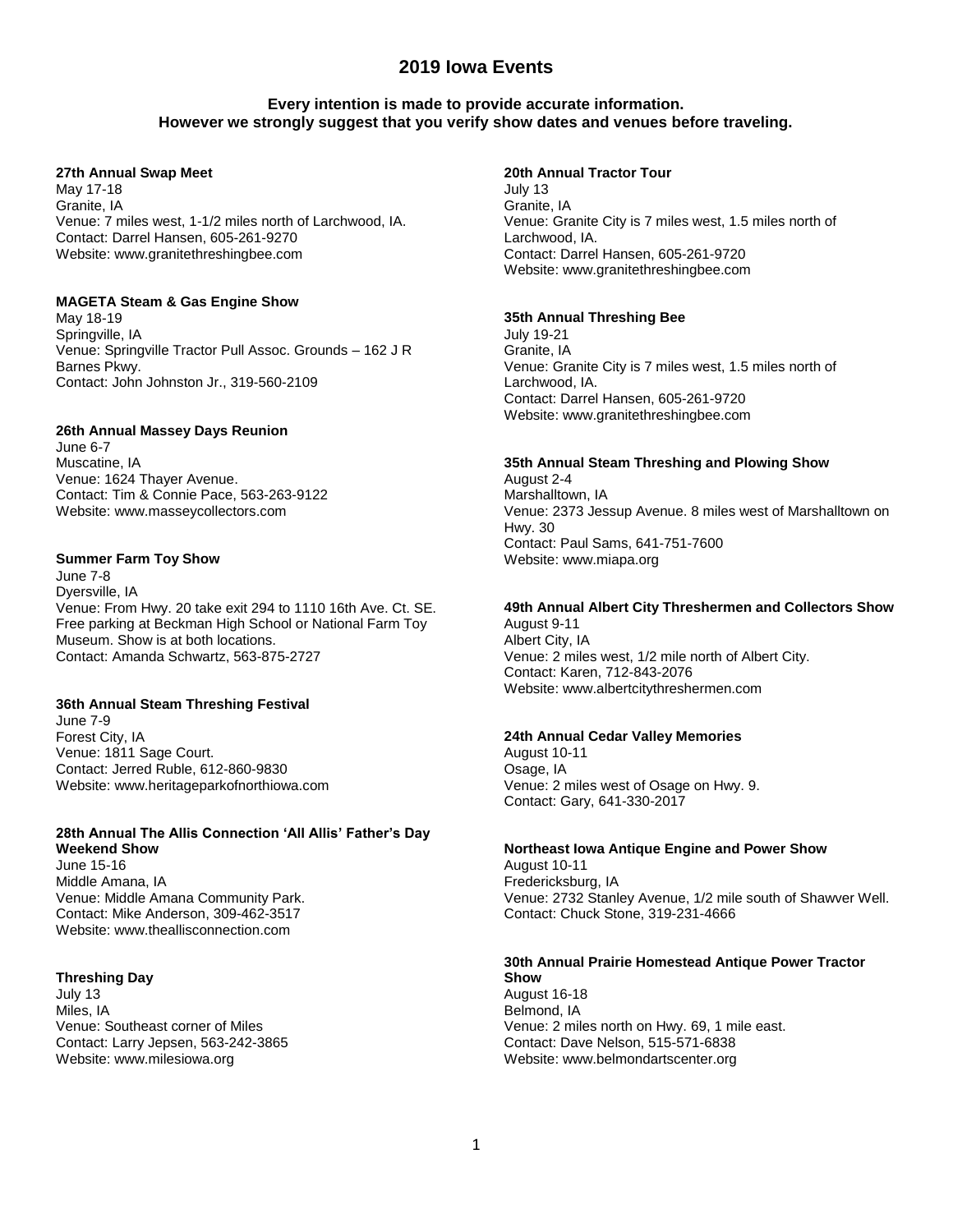# **2019 Iowa Events**

# **Every intention is made to provide accurate information. However we strongly suggest that you verify show dates and venues before traveling.**

### **27th Annual Swap Meet**

May 17-18 Granite, IA Venue: 7 miles west, 1-1/2 miles north of Larchwood, IA. Contact: Darrel Hansen, 605-261-9270 Website: www.granitethreshingbee.com

### **MAGETA Steam & Gas Engine Show**

May 18-19 Springville, IA Venue: Springville Tractor Pull Assoc. Grounds – 162 J R Barnes Pkwy. Contact: John Johnston Jr., 319-560-2109

### **26th Annual Massey Days Reunion**

June 6-7 Muscatine, IA Venue: 1624 Thayer Avenue. Contact: Tim & Connie Pace, 563-263-9122 Website: www.masseycollectors.com

### **Summer Farm Toy Show**

June 7-8 Dyersville, IA Venue: From Hwy. 20 take exit 294 to 1110 16th Ave. Ct. SE. Free parking at Beckman High School or National Farm Toy Museum. Show is at both locations. Contact: Amanda Schwartz, 563-875-2727

### **36th Annual Steam Threshing Festival**

June 7-9 Forest City, IA Venue: 1811 Sage Court. Contact: Jerred Ruble, 612-860-9830 Website: www.heritageparkofnorthiowa.com

#### **28th Annual The Allis Connection 'All Allis' Father's Day Weekend Show**

June 15-16 Middle Amana, IA Venue: Middle Amana Community Park. Contact: Mike Anderson, 309-462-3517 Website: www.theallisconnection.com

### **Threshing Day**

July 13 Miles, IA Venue: Southeast corner of Miles Contact: Larry Jepsen, 563-242-3865 Website: www.milesiowa.org

### **20th Annual Tractor Tour**

July 13 Granite, IA Venue: Granite City is 7 miles west, 1.5 miles north of Larchwood, IA. Contact: Darrel Hansen, 605-261-9720 Website: www.granitethreshingbee.com

### **35th Annual Threshing Bee**

July 19-21 Granite, IA Venue: Granite City is 7 miles west, 1.5 miles north of Larchwood, IA. Contact: Darrel Hansen, 605-261-9720 Website: www.granitethreshingbee.com

# **35th Annual Steam Threshing and Plowing Show**

August 2-4 Marshalltown, IA Venue: 2373 Jessup Avenue. 8 miles west of Marshalltown on Hwy. 30 Contact: Paul Sams, 641-751-7600 Website: www.miapa.org

### **49th Annual Albert City Threshermen and Collectors Show**

August 9-11 Albert City, IA Venue: 2 miles west, 1/2 mile north of Albert City. Contact: Karen, 712-843-2076 Website: www.albertcitythreshermen.com

#### **24th Annual Cedar Valley Memories**

August 10-11 Osage, IA Venue: 2 miles west of Osage on Hwy. 9. Contact: Gary, 641-330-2017

# **Northeast Iowa Antique Engine and Power Show**

August 10-11 Fredericksburg, IA Venue: 2732 Stanley Avenue, 1/2 mile south of Shawver Well. Contact: Chuck Stone, 319-231-4666

#### **30th Annual Prairie Homestead Antique Power Tractor Show**

August 16-18 Belmond, IA Venue: 2 miles north on Hwy. 69, 1 mile east. Contact: Dave Nelson, 515-571-6838 Website: www.belmondartscenter.org